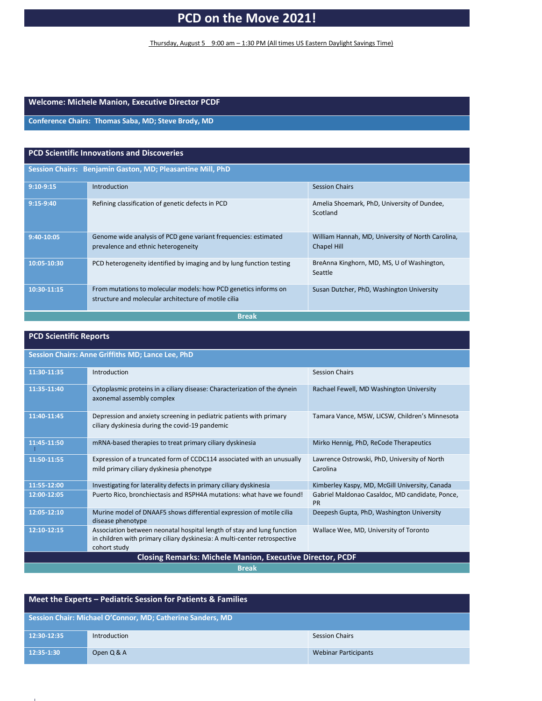# **PCD on the Move 2021!**

Thursday, August 5 9:00 am – 1:30 PM (All times US Eastern Daylight Savings Time)

#### **Welcome: Michele Manion, Executive Director PCDF**

**Conference Chairs: Thomas Saba, MD; Steve Brody, MD**

| <b>PCD Scientific Innovations and Discoveries</b>          |                                                                                                                         |                                                                  |
|------------------------------------------------------------|-------------------------------------------------------------------------------------------------------------------------|------------------------------------------------------------------|
| Session Chairs: Benjamin Gaston, MD; Pleasantine Mill, PhD |                                                                                                                         |                                                                  |
| $9:10-9:15$                                                | Introduction                                                                                                            | <b>Session Chairs</b>                                            |
| $9:15-9:40$                                                | Refining classification of genetic defects in PCD                                                                       | Amelia Shoemark, PhD, University of Dundee,<br>Scotland          |
| $9:40-10:05$                                               | Genome wide analysis of PCD gene variant frequencies: estimated<br>prevalence and ethnic heterogeneity                  | William Hannah, MD, University of North Carolina,<br>Chapel Hill |
| 10:05-10:30                                                | PCD heterogeneity identified by imaging and by lung function testing                                                    | BreAnna Kinghorn, MD, MS, U of Washington,<br>Seattle            |
| 10:30-11:15                                                | From mutations to molecular models: how PCD genetics informs on<br>structure and molecular architecture of motile cilia | Susan Dutcher, PhD, Washington University                        |

**Break**

| <b>PCD Scientific Reports</b> |  |  |
|-------------------------------|--|--|
|-------------------------------|--|--|

| Session Chairs: Anne Griffiths MD; Lance Lee, PhD                |                                                                                                                                                                     |                                                              |
|------------------------------------------------------------------|---------------------------------------------------------------------------------------------------------------------------------------------------------------------|--------------------------------------------------------------|
| 11:30-11:35                                                      | Introduction                                                                                                                                                        | <b>Session Chairs</b>                                        |
| 11:35-11:40                                                      | Cytoplasmic proteins in a ciliary disease: Characterization of the dynein<br>axonemal assembly complex                                                              | Rachael Fewell, MD Washington University                     |
| 11:40-11:45                                                      | Depression and anxiety screening in pediatric patients with primary<br>ciliary dyskinesia during the covid-19 pandemic                                              | Tamara Vance, MSW, LICSW, Children's Minnesota               |
| 11:45-11:50                                                      | mRNA-based therapies to treat primary ciliary dyskinesia                                                                                                            | Mirko Hennig, PhD, ReCode Therapeutics                       |
| 11:50-11:55                                                      | Expression of a truncated form of CCDC114 associated with an unusually<br>mild primary ciliary dyskinesia phenotype                                                 | Lawrence Ostrowski, PhD, University of North<br>Carolina     |
| 11:55-12:00                                                      | Investigating for laterality defects in primary ciliary dyskinesia                                                                                                  | Kimberley Kaspy, MD, McGill University, Canada               |
| 12:00-12:05                                                      | Puerto Rico, bronchiectasis and RSPH4A mutations: what have we found!                                                                                               | Gabriel Maldonao Casaldoc, MD candidate, Ponce,<br><b>PR</b> |
| 12:05-12:10                                                      | Murine model of DNAAF5 shows differential expression of motile cilia<br>disease phenotype                                                                           | Deepesh Gupta, PhD, Washington University                    |
| 12:10-12:15                                                      | Association between neonatal hospital length of stay and lung function<br>in children with primary ciliary dyskinesia: A multi-center retrospective<br>cohort study | Wallace Wee, MD, University of Toronto                       |
| <b>Closing Remarks: Michele Manion, Executive Director, PCDF</b> |                                                                                                                                                                     |                                                              |
| <b>Break</b>                                                     |                                                                                                                                                                     |                                                              |

| Meet the Experts – Pediatric Session for Patients & Families |              |                             |
|--------------------------------------------------------------|--------------|-----------------------------|
| Session Chair: Michael O'Connor, MD; Catherine Sanders, MD   |              |                             |
| 12:30-12:35                                                  | Introduction | <b>Session Chairs</b>       |
| 12:35-1:30                                                   | Open Q & A   | <b>Webinar Participants</b> |